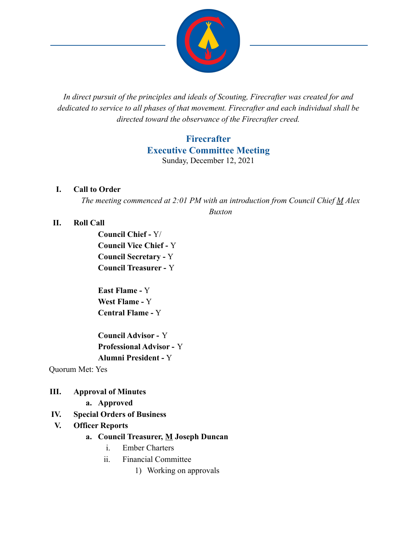

*In direct pursuit of the principles and ideals of Scouting, Firecrafter was created for and dedicated to service to all phases of that movement. Firecrafter and each individual shall be directed toward the observance of the Firecrafter creed.*

# **Firecrafter Executive Committee Meeting** Sunday, December 12, 2021

#### **I. Call to Order**

*The meeting commenced at 2:01 PM with an introduction from Council Chief M Alex Buxton*

### **II. Roll Call**

**Council Chief -** Y/ **Council Vice Chief -** Y **Council Secretary -** Y **Council Treasurer -** Y

**East Flame -** Y **West Flame -** Y **Central Flame -** Y

**Council Advisor -** Y **Professional Advisor -** Y **Alumni President -** Y

Quorum Met: Yes

## **III. Approval of Minutes**

- **a. Approved**
- **IV. Special Orders of Business**
- **V. Officer Reports**

#### **a. Council Treasurer, M Joseph Duncan**

- i. Ember Charters
- ii. Financial Committee
	- 1) Working on approvals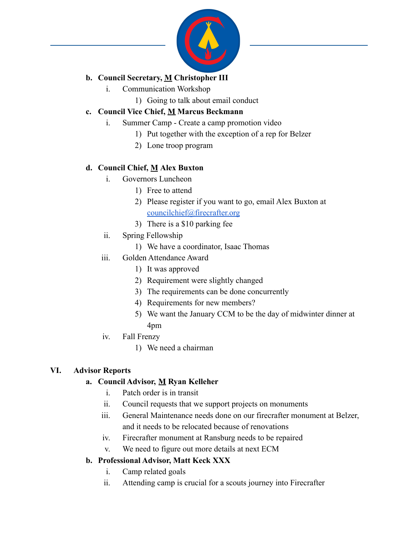

# **b. Council Secretary, M Christopher III**

- i. Communication Workshop
	- 1) Going to talk about email conduct

## **c. Council Vice Chief, M Marcus Beckmann**

- i. Summer Camp Create a camp promotion video
	- 1) Put together with the exception of a rep for Belzer
	- 2) Lone troop program

## **d. Council Chief, M Alex Buxton**

- i. Governors Luncheon
	- 1) Free to attend
	- 2) Please register if you want to go, email Alex Buxton at [councilchief@firecrafter.org](mailto:councilchief@firecrafter.org)
	- 3) There is a \$10 parking fee
- ii. Spring Fellowship
	- 1) We have a coordinator, Isaac Thomas
- iii. Golden Attendance Award
	- 1) It was approved
	- 2) Requirement were slightly changed
	- 3) The requirements can be done concurrently
	- 4) Requirements for new members?
	- 5) We want the January CCM to be the day of midwinter dinner at 4pm
- iv. Fall Frenzy
	- 1) We need a chairman

## **VI. Advisor Reports**

## **a. Council Advisor, M Ryan Kelleher**

- i. Patch order is in transit
- ii. Council requests that we support projects on monuments
- iii. General Maintenance needs done on our firecrafter monument at Belzer, and it needs to be relocated because of renovations
- iv. Firecrafter monument at Ransburg needs to be repaired
- v. We need to figure out more details at next ECM

## **b. Professional Advisor, Matt Keck XXX**

- i. Camp related goals
- ii. Attending camp is crucial for a scouts journey into Firecrafter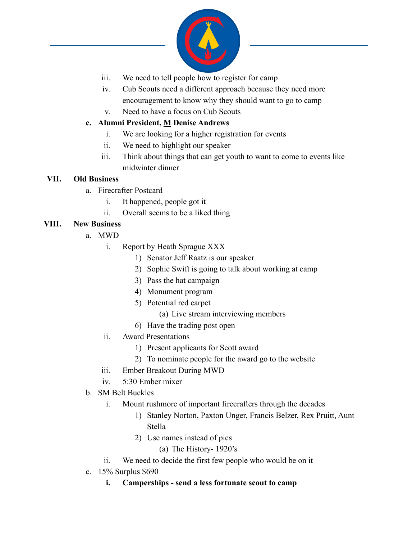

- iii. We need to tell people how to register for camp
- iv. Cub Scouts need a different approach because they need more encouragement to know why they should want to go to camp
- v. Need to have a focus on Cub Scouts

### **c. Alumni President, M Denise Andrews**

- i. We are looking for a higher registration for events
- ii. We need to highlight our speaker
- iii. Think about things that can get youth to want to come to events like midwinter dinner

#### **VII. Old Business**

- a. Firecrafter Postcard
	- i. It happened, people got it
	- ii. Overall seems to be a liked thing

## **VIII. New Business**

- a. MWD
	- i. Report by Heath Sprague XXX
		- 1) Senator Jeff Raatz is our speaker
		- 2) Sophie Swift is going to talk about working at camp
		- 3) Pass the hat campaign
		- 4) Monument program
		- 5) Potential red carpet
			- (a) Live stream interviewing members
		- 6) Have the trading post open
	- ii. Award Presentations
		- 1) Present applicants for Scott award
		- 2) To nominate people for the award go to the website
	- iii. Ember Breakout During MWD
	- iv. 5:30 Ember mixer
- b. SM Belt Buckles
	- i. Mount rushmore of important firecrafters through the decades
		- 1) Stanley Norton, Paxton Unger, Francis Belzer, Rex Pruitt, Aunt Stella
		- 2) Use names instead of pics
			- (a) The History- 1920's
	- ii. We need to decide the first few people who would be on it
- c. 15% Surplus \$690
	- **i. Camperships send a less fortunate scout to camp**